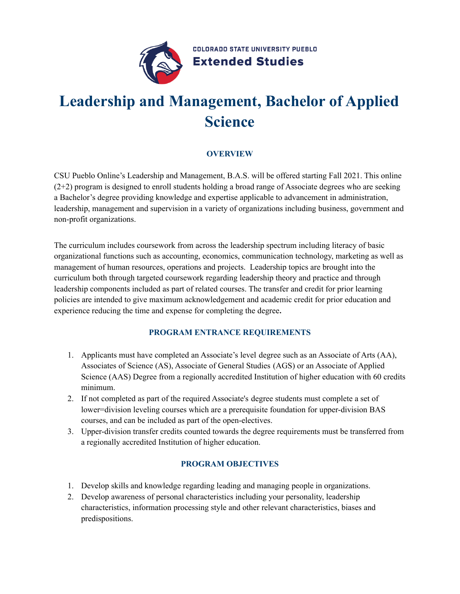

**COLORADO STATE UNIVERSITY PUEBLO Extended Studies** 

# **Leadership and Management, Bachelor of Applied Science**

## **OVERVIEW**

CSU Pueblo Online's Leadership and Management, B.A.S. will be offered starting Fall 2021. This online (2+2) program is designed to enroll students holding a broad range of Associate degrees who are seeking a Bachelor's degree providing knowledge and expertise applicable to advancement in administration, leadership, management and supervision in a variety of organizations including business, government and non-profit organizations.

The curriculum includes coursework from across the leadership spectrum including literacy of basic organizational functions such as accounting, economics, communication technology, marketing as well as management of human resources, operations and projects. Leadership topics are brought into the curriculum both through targeted coursework regarding leadership theory and practice and through leadership components included as part of related courses. The transfer and credit for prior learning policies are intended to give maximum acknowledgement and academic credit for prior education and experience reducing the time and expense for completing the degree**.**

## **PROGRAM ENTRANCE REQUIREMENTS**

- 1. Applicants must have completed an Associate's level degree such as an Associate of Arts (AA), Associates of Science (AS), Associate of General Studies (AGS) or an Associate of Applied Science (AAS) Degree from a regionally accredited Institution of higher education with 60 credits minimum.
- 2. If not completed as part of the required Associate's degree students must complete a set of lower=division leveling courses which are a prerequisite foundation for upper-division BAS courses, and can be included as part of the open-electives.
- 3. Upper-division transfer credits counted towards the degree requirements must be transferred from a regionally accredited Institution of higher education.

# **PROGRAM OBJECTIVES**

- 1. Develop skills and knowledge regarding leading and managing people in organizations.
- 2. Develop awareness of personal characteristics including your personality, leadership characteristics, information processing style and other relevant characteristics, biases and predispositions.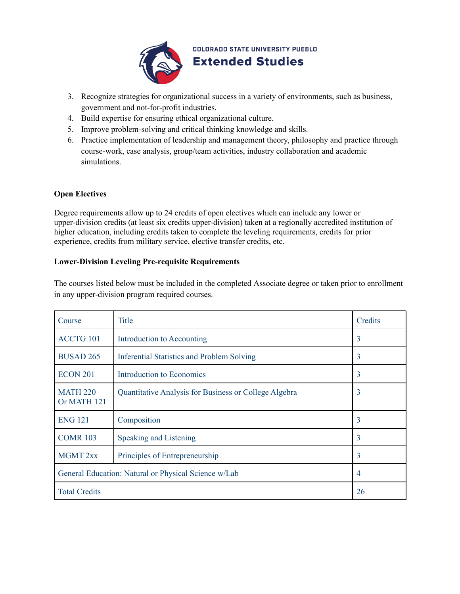

**COLORADO STATE UNIVERSITY PUEBLO Extended Studies** 

- 3. Recognize strategies for organizational success in a variety of environments, such as business, government and not-for-profit industries.
- 4. Build expertise for ensuring ethical organizational culture.
- 5. Improve problem-solving and critical thinking knowledge and skills.
- 6. Practice implementation of leadership and management theory, philosophy and practice through course-work, case analysis, group/team activities, industry collaboration and academic simulations.

#### **Open Electives**

Degree requirements allow up to 24 credits of open electives which can include any lower or upper-division credits (at least six credits upper-division) taken at a regionally accredited institution of higher education, including credits taken to complete the leveling requirements, credits for prior experience, credits from military service, elective transfer credits, etc.

#### **Lower-Division Leveling Pre-requisite Requirements**

The courses listed below must be included in the completed Associate degree or taken prior to enrollment in any upper-division program required courses.

| Course                                               | <b>Title</b>                                          | Credits        |
|------------------------------------------------------|-------------------------------------------------------|----------------|
| ACCTG 101                                            | Introduction to Accounting                            | 3              |
| <b>BUSAD 265</b>                                     | <b>Inferential Statistics and Problem Solving</b>     | $\overline{3}$ |
| <b>ECON 201</b>                                      | Introduction to Economics                             | $\overline{3}$ |
| <b>MATH 220</b><br>Or MATH 121                       | Quantitative Analysis for Business or College Algebra | 3              |
| <b>ENG 121</b>                                       | Composition                                           | 3              |
| <b>COMR 103</b>                                      | Speaking and Listening                                | 3              |
| <b>MGMT 2xx</b>                                      | Principles of Entrepreneurship                        | 3              |
| General Education: Natural or Physical Science w/Lab |                                                       | $\overline{4}$ |
| <b>Total Credits</b>                                 |                                                       | 26             |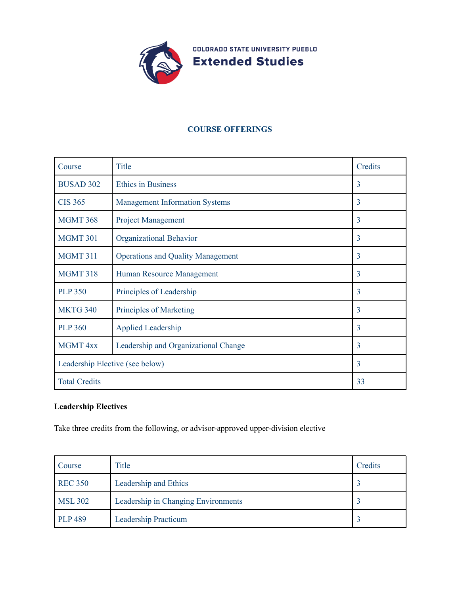

#### **COURSE OFFERINGS**

| Course                          | <b>Title</b>                             | Credits        |
|---------------------------------|------------------------------------------|----------------|
| <b>BUSAD 302</b>                | <b>Ethics in Business</b>                | $\overline{3}$ |
| <b>CIS 365</b>                  | <b>Management Information Systems</b>    | $\overline{3}$ |
| <b>MGMT 368</b>                 | <b>Project Management</b>                | $\overline{3}$ |
| <b>MGMT 301</b>                 | Organizational Behavior                  | $\overline{3}$ |
| <b>MGMT 311</b>                 | <b>Operations and Quality Management</b> | $\overline{3}$ |
| <b>MGMT 318</b>                 | Human Resource Management                | $\overline{3}$ |
| <b>PLP 350</b>                  | Principles of Leadership                 | 3              |
| <b>MKTG 340</b>                 | <b>Principles of Marketing</b>           | 3              |
| <b>PLP 360</b>                  | <b>Applied Leadership</b>                | $\overline{3}$ |
| <b>MGMT 4xx</b>                 | Leadership and Organizational Change     | $\overline{3}$ |
| Leadership Elective (see below) |                                          | $\overline{3}$ |
| <b>Total Credits</b>            |                                          | 33             |

# **Leadership Electives**

Take three credits from the following, or advisor-approved upper-division elective

| Course         | Title                               | Credits |
|----------------|-------------------------------------|---------|
| <b>REC 350</b> | Leadership and Ethics               |         |
| <b>MSL 302</b> | Leadership in Changing Environments |         |
| <b>PLP 489</b> | Leadership Practicum                |         |